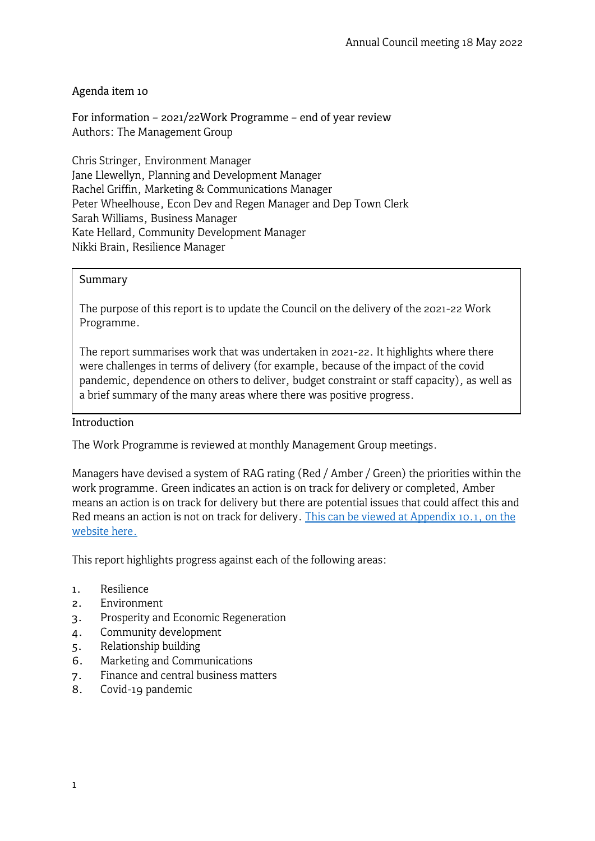### Agenda item 10

For information – 2021/22Work Programme – end of year review Authors: The Management Group

Chris Stringer, Environment Manager Jane Llewellyn, Planning and Development Manager Rachel Griffin, Marketing & Communications Manager Peter Wheelhouse, Econ Dev and Regen Manager and Dep Town Clerk Sarah Williams, Business Manager Kate Hellard, Community Development Manager Nikki Brain, Resilience Manager

#### Summary

The purpose of this report is to update the Council on the delivery of the 2021-22 Work Programme.

The report summarises work that was undertaken in 2021-22. It highlights where there were challenges in terms of delivery (for example, because of the impact of the covid pandemic, dependence on others to deliver, budget constraint or staff capacity), as well as a brief summary of the many areas where there was positive progress.

#### Introduction

The Work Programme is reviewed at monthly Management Group meetings.

Managers have devised a system of RAG rating (Red / Amber / Green) the priorities within the work programme. Green indicates an action is on track for delivery or completed, Amber means an action is on track for delivery but there are potential issues that could affect this and Red means an action is not on track for delivery. This can be viewed at Appendix 10.1, on the [website](https://www.frometowncouncil.gov.uk/wp-content/uploads/2021/05/Appendix-1-Work-programme-for-2020-2021-year-end-review.pdf) here.

This report highlights progress against each of the following areas:

- 1. Resilience
- 2. Environment
- 3. Prosperity and Economic Regeneration
- 4. Community development
- 5. Relationship building
- 6. Marketing and Communications
- 7. Finance and central business matters
- 8. Covid-19 pandemic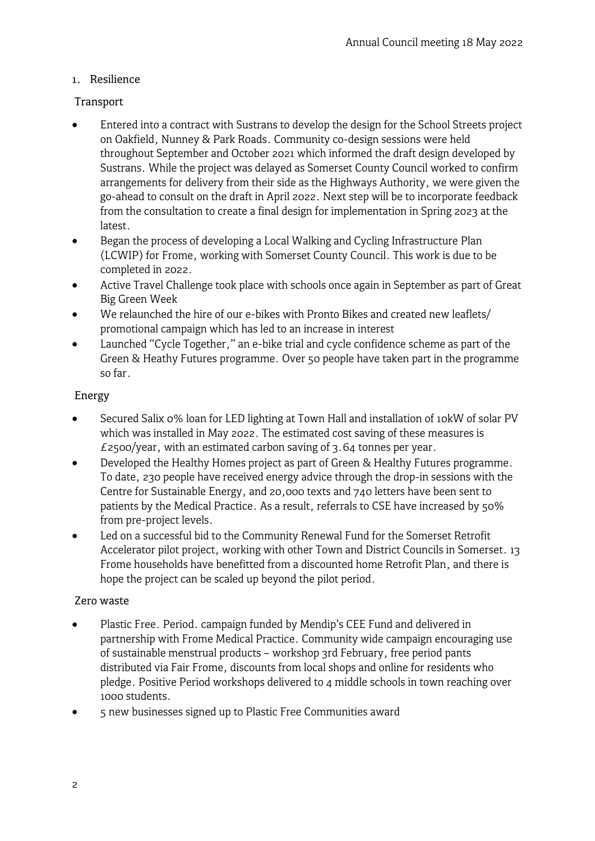### 1. Resilience

## Transport

- Entered into a contract with Sustrans to develop the design for the School Streets project on Oakfield, Nunney & Park Roads. Community co-design sessions were held throughout September and October 2021 which informed the draft design developed by Sustrans. While the project was delayed as Somerset County Council worked to confirm arrangements for delivery from their side as the Highways Authority, we were given the go-ahead to consult on the draft in April 2022. Next step will be to incorporate feedback from the consultation to create a final design for implementation in Spring 2023 at the latest.
- Began the process of developing a Local Walking and Cycling Infrastructure Plan (LCWIP) for Frome, working with Somerset County Council. This work is due to be completed in 2022.
- Active Travel Challenge took place with schools once again in September as part of Great Big Green Week
- We relaunched the hire of our e-bikes with Pronto Bikes and created new leaflets/ promotional campaign which has led to an increase in interest
- Launched "Cycle Together," an e-bike trial and cycle confidence scheme as part of the Green & Heathy Futures programme. Over 50 people have taken part in the programme so far.

## Energy

- Secured Salix 0% loan for LED lighting at Town Hall and installation of 10kW of solar PV which was installed in May 2022. The estimated cost saving of these measures is £2500/year, with an estimated carbon saving of  $3.64$  tonnes per year.
- Developed the Healthy Homes project as part of Green & Healthy Futures programme. To date, 230 people have received energy advice through the drop-in sessions with the Centre for Sustainable Energy, and 20,000 texts and 740 letters have been sent to patients by the Medical Practice. As a result, referrals to CSE have increased by 50% from pre-project levels.
- Led on a successful bid to the Community Renewal Fund for the Somerset Retrofit Accelerator pilot project, working with other Town and District Councils in Somerset. 13 Frome households have benefitted from a discounted home Retrofit Plan, and there is hope the project can be scaled up beyond the pilot period.

## Zero waste

- Plastic Free. Period. campaign funded by Mendip's CEE Fund and delivered in partnership with Frome Medical Practice. Community wide campaign encouraging use of sustainable menstrual products – workshop 3rd February, free period pants distributed via Fair Frome, discounts from local shops and online for residents who pledge. Positive Period workshops delivered to 4 middle schools in town reaching over 1000 students.
- 5 new businesses signed up to Plastic Free Communities award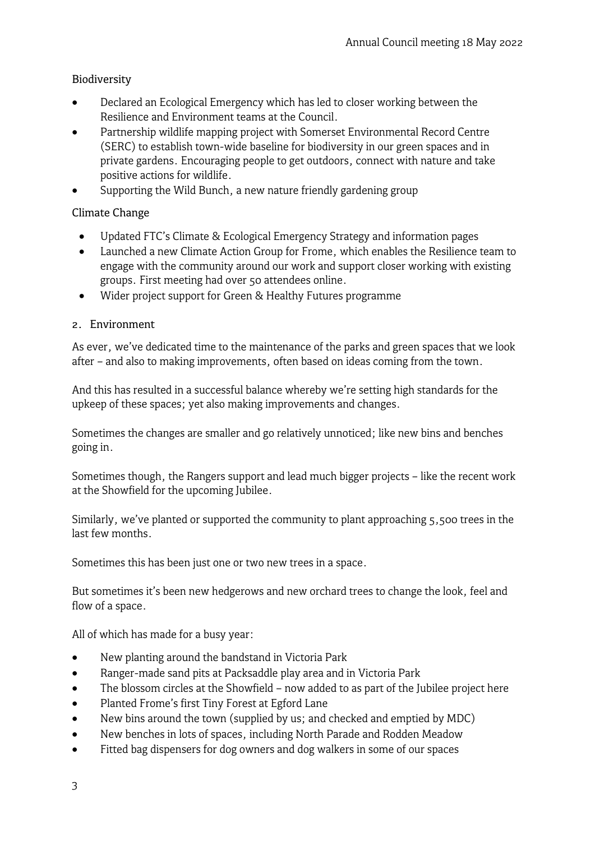## Biodiversity

- Declared an Ecological Emergency which has led to closer working between the Resilience and Environment teams at the Council.
- Partnership wildlife mapping project with Somerset Environmental Record Centre (SERC) to establish town-wide baseline for biodiversity in our green spaces and in private gardens. Encouraging people to get outdoors, connect with nature and take positive actions for wildlife.
- Supporting the Wild Bunch, a new nature friendly gardening group

## Climate Change

- Updated FTC's Climate & Ecological Emergency Strategy and information pages
- Launched a new Climate Action Group for Frome, which enables the Resilience team to engage with the community around our work and support closer working with existing groups. First meeting had over 50 attendees online.
- Wider project support for Green & Healthy Futures programme

# 2. Environment

As ever, we've dedicated time to the maintenance of the parks and green spaces that we look after – and also to making improvements, often based on ideas coming from the town.

And this has resulted in a successful balance whereby we're setting high standards for the upkeep of these spaces; yet also making improvements and changes.

Sometimes the changes are smaller and go relatively unnoticed; like new bins and benches going in.

Sometimes though, the Rangers support and lead much bigger projects – like the recent work at the Showfield for the upcoming Jubilee.

Similarly, we've planted or supported the community to plant approaching 5,500 trees in the last few months.

Sometimes this has been just one or two new trees in a space.

But sometimes it's been new hedgerows and new orchard trees to change the look, feel and flow of a space.

All of which has made for a busy year:

- New planting around the bandstand in Victoria Park
- Ranger-made sand pits at Packsaddle play area and in Victoria Park
- The blossom circles at the Showfield now added to as part of the Jubilee project here
- Planted Frome's first Tiny Forest at Egford Lane
- New bins around the town (supplied by us; and checked and emptied by MDC)
- New benches in lots of spaces, including North Parade and Rodden Meadow
- Fitted bag dispensers for dog owners and dog walkers in some of our spaces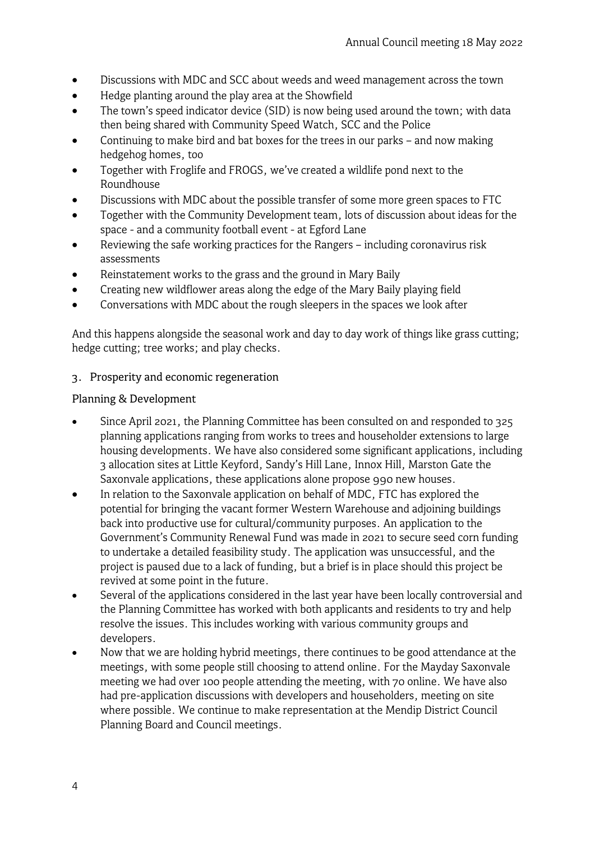- Discussions with MDC and SCC about weeds and weed management across the town
- Hedge planting around the play area at the Showfield
- The town's speed indicator device (SID) is now being used around the town; with data then being shared with Community Speed Watch, SCC and the Police
- Continuing to make bird and bat boxes for the trees in our parks and now making hedgehog homes, too
- Together with Froglife and FROGS, we've created a wildlife pond next to the Roundhouse
- Discussions with MDC about the possible transfer of some more green spaces to FTC
- Together with the Community Development team, lots of discussion about ideas for the space - and a community football event - at Egford Lane
- Reviewing the safe working practices for the Rangers including coronavirus risk assessments
- Reinstatement works to the grass and the ground in Mary Baily
- Creating new wildflower areas along the edge of the Mary Baily playing field
- Conversations with MDC about the rough sleepers in the spaces we look after

And this happens alongside the seasonal work and day to day work of things like grass cutting; hedge cutting; tree works; and play checks.

3. Prosperity and economic regeneration

## Planning & Development

- Since April 2021, the Planning Committee has been consulted on and responded to 325 planning applications ranging from works to trees and householder extensions to large housing developments. We have also considered some significant applications, including 3 allocation sites at Little Keyford, Sandy's Hill Lane, Innox Hill, Marston Gate the Saxonvale applications, these applications alone propose 990 new houses.
- In relation to the Saxonvale application on behalf of MDC, FTC has explored the potential for bringing the vacant former Western Warehouse and adjoining buildings back into productive use for cultural/community purposes. An application to the Government's Community Renewal Fund was made in 2021 to secure seed corn funding to undertake a detailed feasibility study. The application was unsuccessful, and the project is paused due to a lack of funding, but a brief is in place should this project be revived at some point in the future.
- Several of the applications considered in the last year have been locally controversial and the Planning Committee has worked with both applicants and residents to try and help resolve the issues. This includes working with various community groups and developers.
- Now that we are holding hybrid meetings, there continues to be good attendance at the meetings, with some people still choosing to attend online. For the Mayday Saxonvale meeting we had over 100 people attending the meeting, with 70 online. We have also had pre-application discussions with developers and householders, meeting on site where possible. We continue to make representation at the Mendip District Council Planning Board and Council meetings.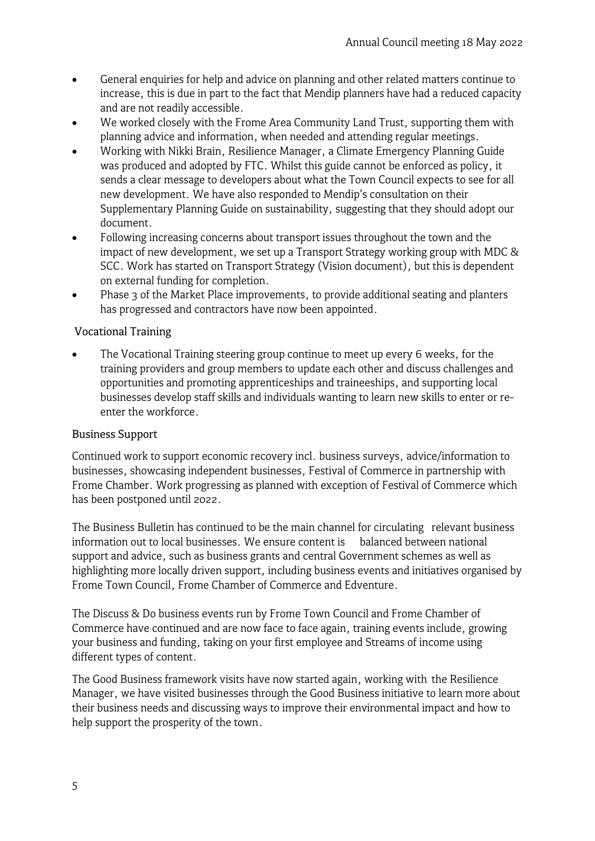- General enquiries for help and advice on planning and other related matters continue to increase, this is due in part to the fact that Mendip planners have had a reduced capacity and are not readily accessible.
- We worked closely with the Frome Area Community Land Trust, supporting them with planning advice and information, when needed and attending regular meetings.
- Working with Nikki Brain, Resilience Manager, a Climate Emergency Planning Guide was produced and adopted by FTC. Whilst this guide cannot be enforced as policy, it sends a clear message to developers about what the Town Council expects to see for all new development. We have also responded to Mendip's consultation on their Supplementary Planning Guide on sustainability, suggesting that they should adopt our document.
- Following increasing concerns about transport issues throughout the town and the impact of new development, we set up a Transport Strategy working group with MDC & SCC. Work has started on Transport Strategy (Vision document), but this is dependent on external funding for completion.
- Phase 3 of the Market Place improvements, to provide additional seating and planters has progressed and contractors have now been appointed.

# Vocational Training

The Vocational Training steering group continue to meet up every 6 weeks, for the training providers and group members to update each other and discuss challenges and opportunities and promoting apprenticeships and traineeships, and supporting local businesses develop staff skills and individuals wanting to learn new skills to enter or reenter the workforce.

## Business Support

Continued work to support economic recovery incl. business surveys, advice/information to businesses, showcasing independent businesses, Festival of Commerce in partnership with Frome Chamber. Work progressing as planned with exception of Festival of Commerce which has been postponed until 2022.

The Business Bulletin has continued to be the main channel for circulating relevant business information out to local businesses. We ensure content is balanced between national support and advice, such as business grants and central Government schemes as well as highlighting more locally driven support, including business events and initiatives organised by Frome Town Council, Frome Chamber of Commerce and Edventure.

The Discuss & Do business events run by Frome Town Council and Frome Chamber of Commerce have continued and are now face to face again, training events include, growing your business and funding, taking on your first employee and Streams of income using different types of content.

The Good Business framework visits have now started again, working with the Resilience Manager, we have visited businesses through the Good Business initiative to learn more about their business needs and discussing ways to improve their environmental impact and how to help support the prosperity of the town.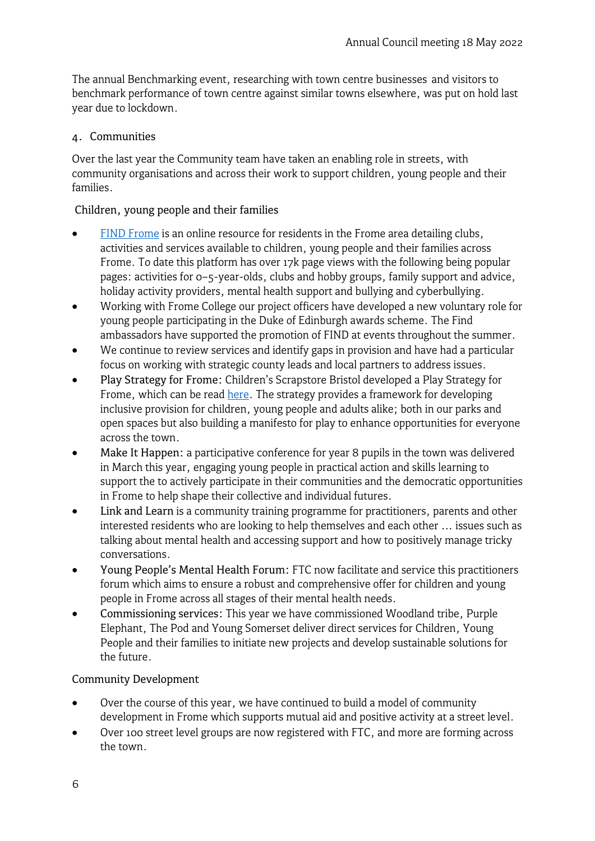The annual Benchmarking event, researching with town centre businesses and visitors to benchmark performance of town centre against similar towns elsewhere, was put on hold last year due to lockdown.

### 4. Communities

Over the last year the Community team have taken an enabling role in streets, with community organisations and across their work to support children, young people and their families.

### Children, young people and their families

- [FIND Frome](https://www.frometowncouncil.gov.uk/find/) is an online resource for residents in the Frome area detailing clubs, activities and services available to children, young people and their families across Frome. To date this platform has over 17k page views with the following being popular pages: activities for 0–5-year-olds, clubs and hobby groups, family support and advice, holiday activity providers, mental health support and bullying and cyberbullying.
- Working with Frome College our project officers have developed a new voluntary role for young people participating in the Duke of Edinburgh awards scheme. The Find ambassadors have supported the promotion of FIND at events throughout the summer.
- We continue to review services and identify gaps in provision and have had a particular focus on working with strategic county leads and local partners to address issues.
- Play Strategy for Frome: Children's Scrapstore Bristol developed a Play Strategy for Frome, which can be read [here.](https://www.frometowncouncil.gov.uk/your-community/community/choose-play/) The strategy provides a framework for developing inclusive provision for children, young people and adults alike; both in our parks and open spaces but also building a manifesto for play to enhance opportunities for everyone across the town.
- Make It Happen: a participative conference for year 8 pupils in the town was delivered in March this year, engaging young people in practical action and skills learning to support the to actively participate in their communities and the democratic opportunities in Frome to help shape their collective and individual futures.
- Link and Learn is a community training programme for practitioners, parents and other interested residents who are looking to help themselves and each other … issues such as talking about mental health and accessing support and how to positively manage tricky conversations.
- Young People's Mental Health Forum: FTC now facilitate and service this practitioners forum which aims to ensure a robust and comprehensive offer for children and young people in Frome across all stages of their mental health needs.
- Commissioning services: This year we have commissioned Woodland tribe, Purple Elephant, The Pod and Young Somerset deliver direct services for Children, Young People and their families to initiate new projects and develop sustainable solutions for the future.

### Community Development

- Over the course of this year, we have continued to build a model of community development in Frome which supports mutual aid and positive activity at a street level.
- Over 100 street level groups are now registered with FTC, and more are forming across the town.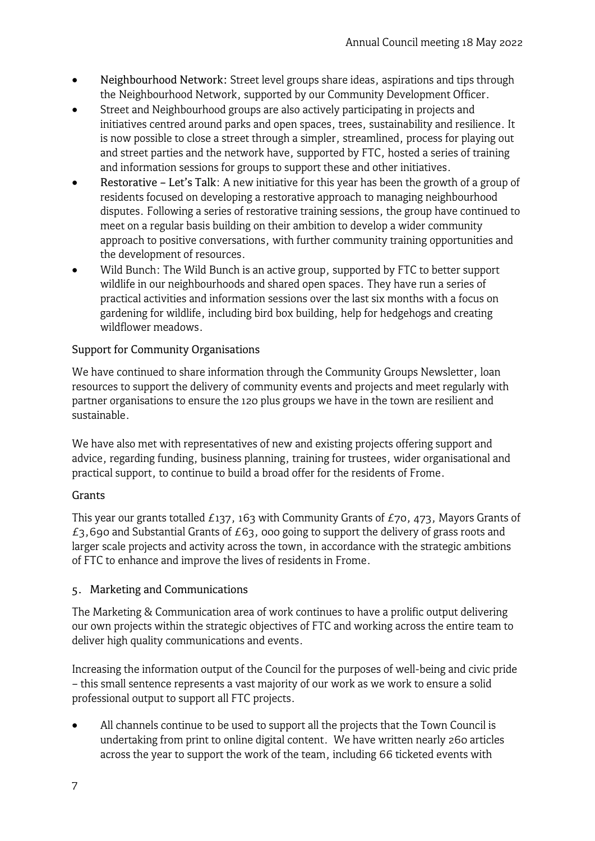- Neighbourhood Network: Street level groups share ideas, aspirations and tips through the Neighbourhood Network, supported by our Community Development Officer.
- Street and Neighbourhood groups are also actively participating in projects and initiatives centred around parks and open spaces, trees, sustainability and resilience. It is now possible to close a street through a simpler, streamlined, process for playing out and street parties and the network have, supported by FTC, hosted a series of training and information sessions for groups to support these and other initiatives.
- Restorative Let's Talk: A new initiative for this year has been the growth of a group of residents focused on developing a restorative approach to managing neighbourhood disputes. Following a series of restorative training sessions, the group have continued to meet on a regular basis building on their ambition to develop a wider community approach to positive conversations, with further community training opportunities and the development of resources.
- Wild Bunch: The Wild Bunch is an active group, supported by FTC to better support wildlife in our neighbourhoods and shared open spaces. They have run a series of practical activities and information sessions over the last six months with a focus on gardening for wildlife, including bird box building, help for hedgehogs and creating wildflower meadows.

# Support for Community Organisations

We have continued to share information through the Community Groups Newsletter, loan resources to support the delivery of community events and projects and meet regularly with partner organisations to ensure the 120 plus groups we have in the town are resilient and sustainable.

We have also met with representatives of new and existing projects offering support and advice, regarding funding, business planning, training for trustees, wider organisational and practical support, to continue to build a broad offer for the residents of Frome.

## Grants

This year our grants totalled  $E$ 137, 163 with Community Grants of  $E$ 70, 473, Mayors Grants of  $£3,690$  and Substantial Grants of  $£63,000$  going to support the delivery of grass roots and larger scale projects and activity across the town, in accordance with the strategic ambitions of FTC to enhance and improve the lives of residents in Frome.

## 5. Marketing and Communications

The Marketing & Communication area of work continues to have a prolific output delivering our own projects within the strategic objectives of FTC and working across the entire team to deliver high quality communications and events.

Increasing the information output of the Council for the purposes of well-being and civic pride – this small sentence represents a vast majority of our work as we work to ensure a solid professional output to support all FTC projects.

• All channels continue to be used to support all the projects that the Town Council is undertaking from print to online digital content. We have written nearly 260 articles across the year to support the work of the team, including 66 ticketed events with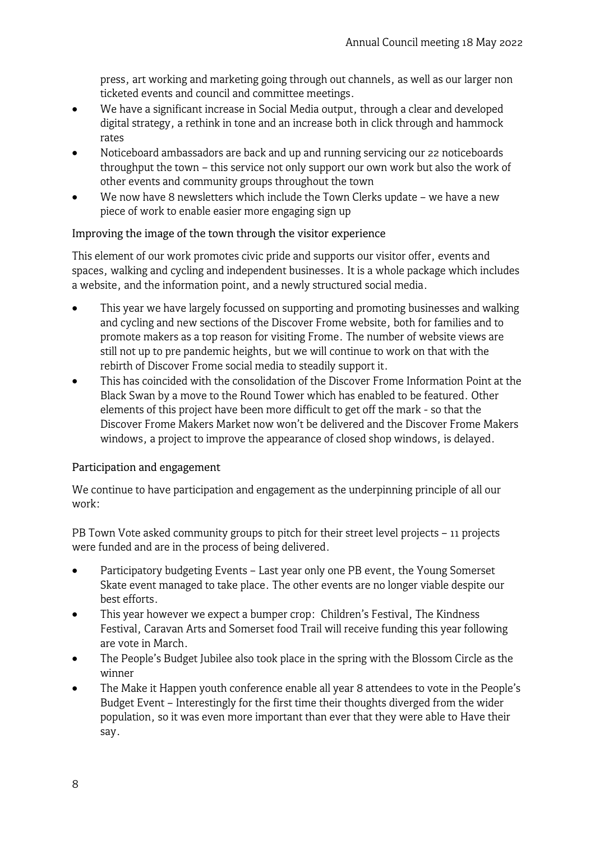press, art working and marketing going through out channels, as well as our larger non ticketed events and council and committee meetings.

- We have a significant increase in Social Media output, through a clear and developed digital strategy, a rethink in tone and an increase both in click through and hammock rates
- Noticeboard ambassadors are back and up and running servicing our 22 noticeboards throughput the town – this service not only support our own work but also the work of other events and community groups throughout the town
- We now have 8 newsletters which include the Town Clerks update we have a new piece of work to enable easier more engaging sign up

### Improving the image of the town through the visitor experience

This element of our work promotes civic pride and supports our visitor offer, events and spaces, walking and cycling and independent businesses. It is a whole package which includes a website, and the information point, and a newly structured social media.

- This year we have largely focussed on supporting and promoting businesses and walking and cycling and new sections of the Discover Frome website, both for families and to promote makers as a top reason for visiting Frome. The number of website views are still not up to pre pandemic heights, but we will continue to work on that with the rebirth of Discover Frome social media to steadily support it.
- This has coincided with the consolidation of the Discover Frome Information Point at the Black Swan by a move to the Round Tower which has enabled to be featured. Other elements of this project have been more difficult to get off the mark - so that the Discover Frome Makers Market now won't be delivered and the Discover Frome Makers windows, a project to improve the appearance of closed shop windows, is delayed.

### Participation and engagement

We continue to have participation and engagement as the underpinning principle of all our work:

PB Town Vote asked community groups to pitch for their street level projects – 11 projects were funded and are in the process of being delivered.

- Participatory budgeting Events Last year only one PB event, the Young Somerset Skate event managed to take place. The other events are no longer viable despite our best efforts.
- This year however we expect a bumper crop: Children's Festival, The Kindness Festival, Caravan Arts and Somerset food Trail will receive funding this year following are vote in March.
- The People's Budget Jubilee also took place in the spring with the Blossom Circle as the winner
- The Make it Happen youth conference enable all year 8 attendees to vote in the People's Budget Event – Interestingly for the first time their thoughts diverged from the wider population, so it was even more important than ever that they were able to Have their say.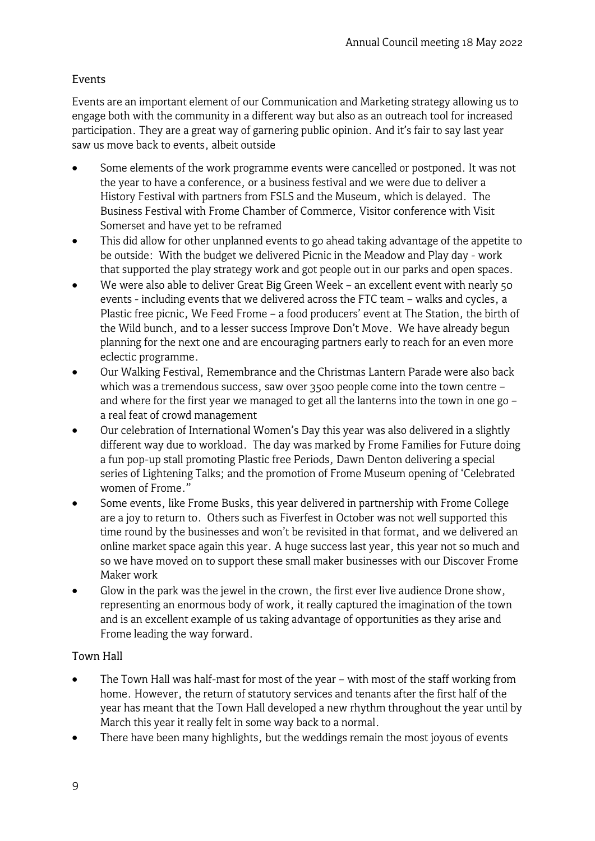# Events

Events are an important element of our Communication and Marketing strategy allowing us to engage both with the community in a different way but also as an outreach tool for increased participation. They are a great way of garnering public opinion. And it's fair to say last year saw us move back to events, albeit outside

- Some elements of the work programme events were cancelled or postponed. It was not the year to have a conference, or a business festival and we were due to deliver a History Festival with partners from FSLS and the Museum, which is delayed. The Business Festival with Frome Chamber of Commerce, Visitor conference with Visit Somerset and have yet to be reframed
- This did allow for other unplanned events to go ahead taking advantage of the appetite to be outside: With the budget we delivered Picnic in the Meadow and Play day - work that supported the play strategy work and got people out in our parks and open spaces.
- We were also able to deliver Great Big Green Week an excellent event with nearly 50 events - including events that we delivered across the FTC team – walks and cycles, a Plastic free picnic, We Feed Frome – a food producers' event at The Station, the birth of the Wild bunch, and to a lesser success Improve Don't Move. We have already begun planning for the next one and are encouraging partners early to reach for an even more eclectic programme.
- Our Walking Festival, Remembrance and the Christmas Lantern Parade were also back which was a tremendous success, saw over 3500 people come into the town centre – and where for the first year we managed to get all the lanterns into the town in one go – a real feat of crowd management
- Our celebration of International Women's Day this year was also delivered in a slightly different way due to workload. The day was marked by Frome Families for Future doing a fun pop-up stall promoting Plastic free Periods, Dawn Denton delivering a special series of Lightening Talks; and the promotion of Frome Museum opening of 'Celebrated women of Frome."
- Some events, like Frome Busks, this year delivered in partnership with Frome College are a joy to return to. Others such as Fiverfest in October was not well supported this time round by the businesses and won't be revisited in that format, and we delivered an online market space again this year. A huge success last year, this year not so much and so we have moved on to support these small maker businesses with our Discover Frome Maker work
- Glow in the park was the jewel in the crown, the first ever live audience Drone show, representing an enormous body of work, it really captured the imagination of the town and is an excellent example of us taking advantage of opportunities as they arise and Frome leading the way forward.

# Town Hall

- The Town Hall was half-mast for most of the year with most of the staff working from home. However, the return of statutory services and tenants after the first half of the year has meant that the Town Hall developed a new rhythm throughout the year until by March this year it really felt in some way back to a normal.
- There have been many highlights, but the weddings remain the most joyous of events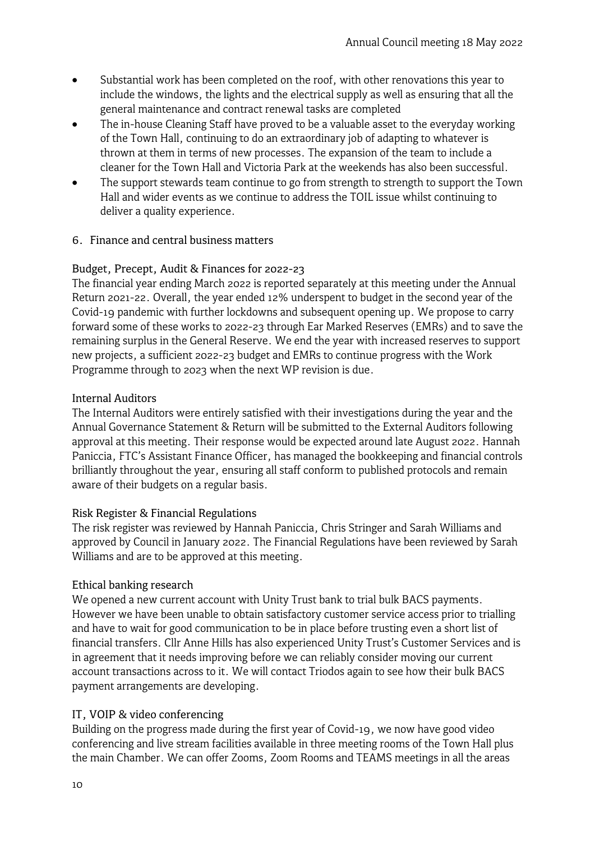- Substantial work has been completed on the roof, with other renovations this year to include the windows, the lights and the electrical supply as well as ensuring that all the general maintenance and contract renewal tasks are completed
- The in-house Cleaning Staff have proved to be a valuable asset to the everyday working of the Town Hall, continuing to do an extraordinary job of adapting to whatever is thrown at them in terms of new processes. The expansion of the team to include a cleaner for the Town Hall and Victoria Park at the weekends has also been successful.
- The support stewards team continue to go from strength to strength to support the Town Hall and wider events as we continue to address the TOIL issue whilst continuing to deliver a quality experience.

#### 6. Finance and central business matters

### Budget, Precept, Audit & Finances for 2022-23

The financial year ending March 2022 is reported separately at this meeting under the Annual Return 2021-22. Overall, the year ended 12% underspent to budget in the second year of the Covid-19 pandemic with further lockdowns and subsequent opening up. We propose to carry forward some of these works to 2022-23 through Ear Marked Reserves (EMRs) and to save the remaining surplus in the General Reserve. We end the year with increased reserves to support new projects, a sufficient 2022-23 budget and EMRs to continue progress with the Work Programme through to 2023 when the next WP revision is due.

#### Internal Auditors

The Internal Auditors were entirely satisfied with their investigations during the year and the Annual Governance Statement & Return will be submitted to the External Auditors following approval at this meeting. Their response would be expected around late August 2022. Hannah Paniccia, FTC's Assistant Finance Officer, has managed the bookkeeping and financial controls brilliantly throughout the year, ensuring all staff conform to published protocols and remain aware of their budgets on a regular basis.

### Risk Register & Financial Regulations

The risk register was reviewed by Hannah Paniccia, Chris Stringer and Sarah Williams and approved by Council in January 2022. The Financial Regulations have been reviewed by Sarah Williams and are to be approved at this meeting.

#### Ethical banking research

We opened a new current account with Unity Trust bank to trial bulk BACS payments. However we have been unable to obtain satisfactory customer service access prior to trialling and have to wait for good communication to be in place before trusting even a short list of financial transfers. Cllr Anne Hills has also experienced Unity Trust's Customer Services and is in agreement that it needs improving before we can reliably consider moving our current account transactions across to it. We will contact Triodos again to see how their bulk BACS payment arrangements are developing.

### IT, VOIP & video conferencing

Building on the progress made during the first year of Covid-19, we now have good video conferencing and live stream facilities available in three meeting rooms of the Town Hall plus the main Chamber. We can offer Zooms, Zoom Rooms and TEAMS meetings in all the areas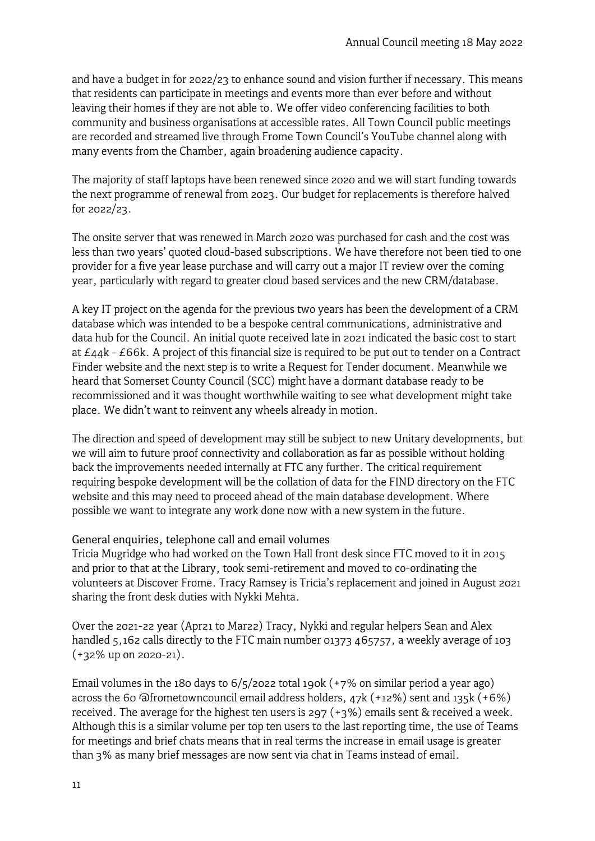and have a budget in for 2022/23 to enhance sound and vision further if necessary. This means that residents can participate in meetings and events more than ever before and without leaving their homes if they are not able to. We offer video conferencing facilities to both community and business organisations at accessible rates. All Town Council public meetings are recorded and streamed live through Frome Town Council's YouTube channel along with many events from the Chamber, again broadening audience capacity.

The majority of staff laptops have been renewed since 2020 and we will start funding towards the next programme of renewal from 2023. Our budget for replacements is therefore halved for 2022/23.

The onsite server that was renewed in March 2020 was purchased for cash and the cost was less than two years' quoted cloud-based subscriptions. We have therefore not been tied to one provider for a five year lease purchase and will carry out a major IT review over the coming year, particularly with regard to greater cloud based services and the new CRM/database.

A key IT project on the agenda for the previous two years has been the development of a CRM database which was intended to be a bespoke central communications, administrative and data hub for the Council. An initial quote received late in 2021 indicated the basic cost to start at £44k - £66k. A project of this financial size is required to be put out to tender on a Contract Finder website and the next step is to write a Request for Tender document. Meanwhile we heard that Somerset County Council (SCC) might have a dormant database ready to be recommissioned and it was thought worthwhile waiting to see what development might take place. We didn't want to reinvent any wheels already in motion.

The direction and speed of development may still be subject to new Unitary developments, but we will aim to future proof connectivity and collaboration as far as possible without holding back the improvements needed internally at FTC any further. The critical requirement requiring bespoke development will be the collation of data for the FIND directory on the FTC website and this may need to proceed ahead of the main database development. Where possible we want to integrate any work done now with a new system in the future.

### General enquiries, telephone call and email volumes

Tricia Mugridge who had worked on the Town Hall front desk since FTC moved to it in 2015 and prior to that at the Library, took semi-retirement and moved to co-ordinating the volunteers at Discover Frome. Tracy Ramsey is Tricia's replacement and joined in August 2021 sharing the front desk duties with Nykki Mehta.

Over the 2021-22 year (Apr21 to Mar22) Tracy, Nykki and regular helpers Sean and Alex handled 5,162 calls directly to the FTC main number 01373 465757, a weekly average of 103 (+32% up on 2020-21).

Email volumes in the 180 days to  $6/5/2022$  total 190k (+7% on similar period a year ago) across the 60 @frometowncouncil email address holders,  $47k (+12%)$  sent and  $135k (+6%)$ received. The average for the highest ten users is 297 (+3%) emails sent & received a week. Although this is a similar volume per top ten users to the last reporting time, the use of Teams for meetings and brief chats means that in real terms the increase in email usage is greater than 3% as many brief messages are now sent via chat in Teams instead of email.